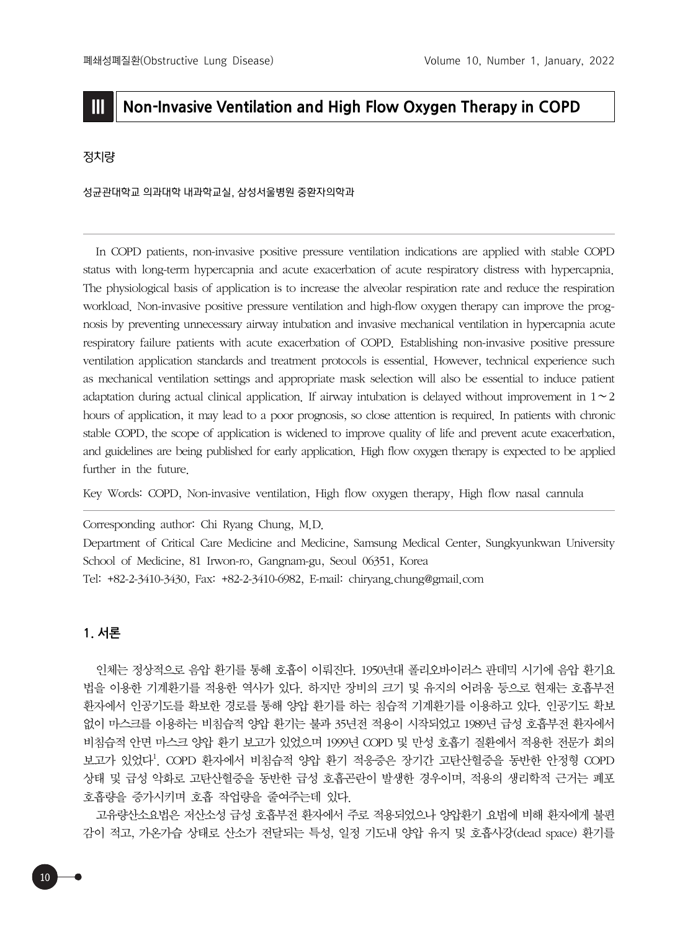# **III Non-Invasive Ventilation and High Flow Oxygen Therapy in COPD**

# 정치량

성균관대학교 의과대학 내과학교실, 삼성서울병원 중환자의학과

In COPD patients, non-invasive positive pressure ventilation indications are applied with stable COPD status with long-term hypercapnia and acute exacerbation of acute respiratory distress with hypercapnia. The physiological basis of application is to increase the alveolar respiration rate and reduce the respiration workload. Non-invasive positive pressure ventilation and high-flow oxygen therapy can improve the prognosis by preventing unnecessary airway intubation and invasive mechanical ventilation in hypercapnia acute respiratory failure patients with acute exacerbation of COPD. Establishing non-invasive positive pressure ventilation application standards and treatment protocols is essential. However, technical experience such as mechanical ventilation settings and appropriate mask selection will also be essential to induce patient adaptation during actual clinical application. If airway intubation is delayed without improvement in 1∼2 hours of application, it may lead to a poor prognosis, so close attention is required. In patients with chronic stable COPD, the scope of application is widened to improve quality of life and prevent acute exacerbation, and guidelines are being published for early application. High flow oxygen therapy is expected to be applied further in the future.

Key Words: COPD, Non-invasive ventilation, High flow oxygen therapy, High flow nasal cannula

Corresponding author: Chi Ryang Chung, M.D.

Department of Critical Care Medicine and Medicine, Samsung Medical Center, Sungkyunkwan University School of Medicine, 81 Irwon-ro, Gangnam-gu, Seoul 06351, Korea Tel: +82-2-3410-3430, Fax: +82-2-3410-6982, E-mail: chiryang.chung@gmail.com

## **1. 서론**

인체는 정상적으로 음압 환기를 통해 호흡이 이뤄진다. 1950년대 폴리오바이러스 판데믹 시기에 음압 환기요 법을 이용한 기계환기를 적용한 역사가 있다. 하지만 장비의 크기 및 유지의 어려움 등으로 현재는 호흡부전 환자에서 인공기도를 확보한 경로를 통해 양압 환기를 하는 침습적 기계환기를 이용하고 있다. 인공기도 확보 없이 마스크를 이용하는 비침습적 양압 환기는 불과 35년전 적용이 시작되었고 1989년 급성 호흡부전 환자에서 비침습적 안면 마스크 양압 환기 보고가 있었으며 1999년 COPD 및 만성 호흡기 질환에서 적용한 전문가 회의 보고가 있었다<sup>1</sup>. COPD 환자에서 비침습적 양압 환기 적응증은 장기간 고탄산혈증을 동반한 안정형 COPD 상태 및 급성 악화로 고탄산혈증을 동반한 급성 호흡곤란이 발생한 경우이며, 적용의 생리학적 근거는 폐포 호흡량을 증가시키며 호흡 작업량을 줄여주는데 있다.

고유량산소요법은 저산소성 급성 호흡부전 환자에서 주로 적용되었으나 양압환기 요법에 비해 환자에게 불편 감이 적고, 가온가습 상태로 산소가 전달되는 특성, 일정 기도내 양압 유지 및 호흡사강(dead space) 환기를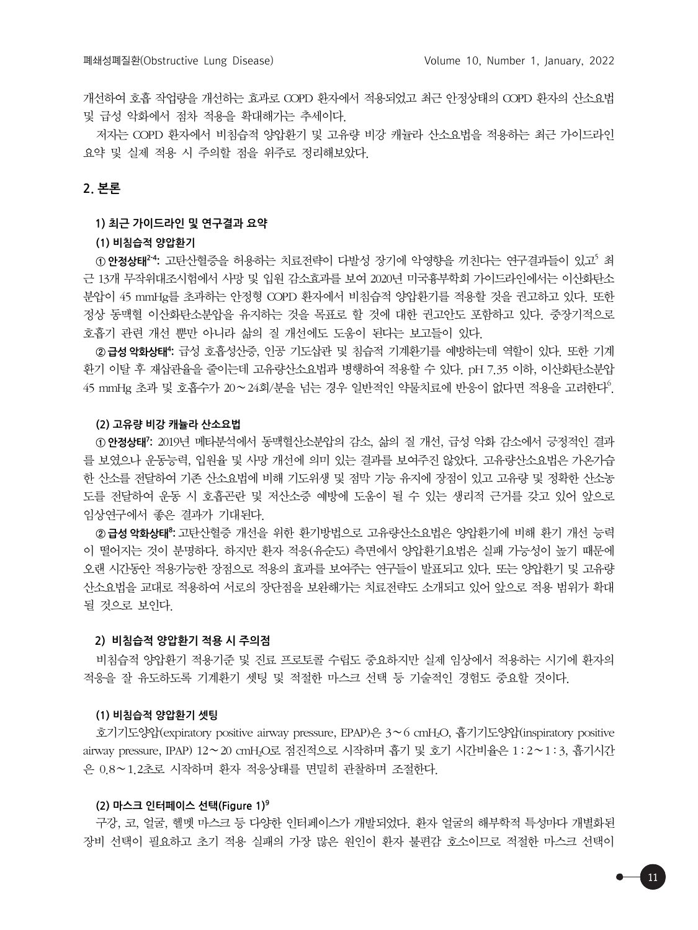개선하여 호흡 작업량을 개선하는 효과로 COPD 환자에서 적용되었고 최근 안정상태의 COPD 환자의 산소요법 및 급성 악화에서 점차 적용을 확대해가는 추세이다.

저자는 COPD 환자에서 비침습적 양압환기 및 고유량 비강 캐뉼라 산소요법을 적용하는 최근 가이드라인 요약 및 실제 적용 시 주의할 점을 위주로 정리해보았다.

# **2. 본론**

### **1) 최근 가이드라인 및 연구결과 요약**

## **(1) 비침습적 양압환기**

① 안정상태<sup>24</sup>: 고탄산혈증을 허용하는 치료전략이 다발성 장기에 악영향을 끼친다는 연구결과들이 있고<sup>5</sup> 최 근 13개 무작위대조시험에서 사망 및 입원 감소효과를 보여 2020년 미국흉부학회 가이드라인에서는 이산화탄소 분압이 45 mmHg를 초과하는 안정형 COPD 환자에서 비침습적 양압환기를 적용할 것을 권고하고 있다. 또한 정상 동맥혈 이산화탄소분압을 유지하는 것을 목표로 할 것에 대한 권고안도 포함하고 있다. 중장기적으로 호흡기 관련 개선 뿐만 아니라 삶의 질 개선에도 도움이 된다는 보고들이 있다.

**② 급성 악화상태4 :** 급성 호흡성산증, 인공 기도삽관 및 침습적 기계환기를 예방하는데 역할이 있다. 또한 기계 환기 이탈 후 재삽관율을 줄이는데 고유량산소요법과 병행하여 적용할 수 있다. pH 7.35 이하, 이산화탄소분압  $45$  mmHg 초과 및 호흡수가 20∼24회/분을 넘는 경우 일반적인 약물치료에 반응이 없다면 적용을 고려한다 $^6$ .

#### **(2) 고유량 비강 캐뉼라 산소요법**

**① 안정상태7 :** 2019년 메타분석에서 동맥혈산소분압의 감소, 삶의 질 개선, 급성 악화 감소에서 긍정적인 결과 를 보였으나 운동능력, 입원율 및 사망 개선에 의미 있는 결과를 보여주진 않았다. 고유량산소요법은 가온가습 한 산소를 전달하여 기존 산소요법에 비해 기도위생 및 점막 기능 유지에 장점이 있고 고유량 및 정확한 산소농 도를 전달하여 운동 시 호흡곤란 및 저산소증 예방에 도움이 될 수 있는 생리적 근거를 갖고 있어 앞으로 임상연구에서 좋은 결과가 기대된다.

**② 급성 악화상태8 :** 고탄산혈증 개선을 위한 환기방법으로 고유량산소요법은 양압환기에 비해 환기 개선 능력 이 떨어지는 것이 분명하다. 하지만 환자 적응(유순도) 측면에서 양압환기요법은 실패 가능성이 높기 때문에 오랜 시간동안 적용가능한 장점으로 적용의 효과를 보여주는 연구들이 발표되고 있다. 또는 양압환기 및 고유량 산소요법을 교대로 적용하여 서로의 장단점을 보완해가는 치료전략도 소개되고 있어 앞으로 적용 범위가 확대 될 것으로 보인다.

#### **2) 비침습적 양압환기 적용 시 주의점**

비침습적 양압환기 적용기준 및 진료 프로토콜 수립도 중요하지만 실제 임상에서 적용하는 시기에 환자의 적응을 잘 유도하도록 기계환기 셋팅 및 적절한 마스크 선택 등 기술적인 경험도 중요할 것이다.

#### **(1) 비침습적 양압환기 셋팅**

호기기도양압(expiratory positive airway pressure, EPAP)은 3∼6 cmH2O, 흡기기도양압(inspiratory positive airway pressure, IPAP) 12∼20 cmH2O로 점진적으로 시작하며 흡기 및 호기 시간비율은 1 : 2∼1 : 3, 흡기시간 은 0.8∼1.2초로 시작하며 환자 적응상태를 면밀히 관찰하며 조절한다.

#### **(2) 마스크 인터페이스 선택(Figure 1)9**

구강, 코, 얼굴, 헬멧 마스크 등 다양한 인터페이스가 개발되었다. 환자 얼굴의 해부학적 특성마다 개별화된 장비 선택이 필요하고 초기 적용 실패의 가장 많은 원인이 환자 불편감 호소이므로 적절한 마스크 선택이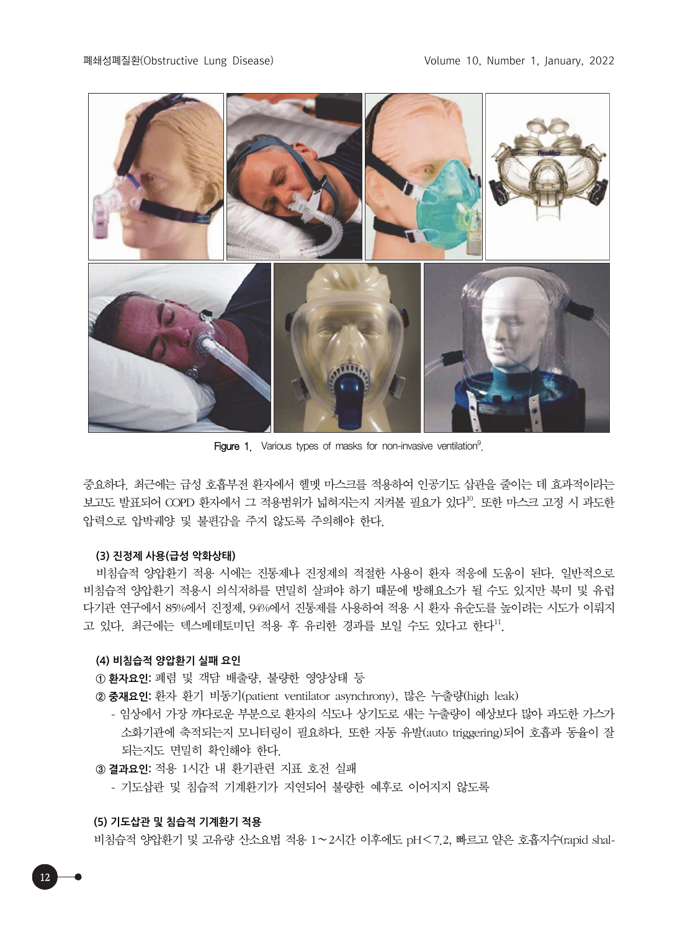

Figure 1. Various types of masks for non-invasive ventilation<sup>9</sup>.

중요하다. 최근에는 급성 호흡부전 환자에서 헬멧 마스크를 적용하여 인공기도 삽관을 줄이는 데 효과적이라는 보고도 발표되어 COPD 환자에서 그 적용범위가 넓혀지는지 지켜볼 필요가 있다<sup>10</sup>. 또한 마스크 고정 시 과도한 압력으로 압박궤양 및 불편감을 주지 않도록 주의해야 한다.

## **(3) 진정제 사용(급성 악화상태)**

비침습적 양압환기 적용 시에는 진통제나 진정제의 적절한 사용이 환자 적응에 도움이 된다. 일반적으로 비침습적 양압환기 적용시 의식저하를 면밀히 살펴야 하기 때문에 방해요소가 될 수도 있지만 북미 및 유럽 다기관 연구에서 85%에서 진정제, 94%에서 진통제를 사용하여 적용 시 환자 유순도를 높이려는 시도가 이뤄지 고 있다. 최근에는 덱스메데토미딘 적용 후 유리한 경과를 보일 수도 있다고 한다".

## **(4) 비침습적 양압환기 실패 요인**

**① 환자요인:** 폐렴 및 객담 배출량, 불량한 영양상태 등

**② 중재요인:** 환자 환기 비동기(patient ventilator asynchrony), 많은 누출량(high leak)

- 임상에서 가장 까다로운 부분으로 환자의 식도나 상기도로 새는 누출량이 예상보다 많아 과도한 가스가 소화기관에 축적되는지 모니터링이 필요하다. 또한 자동 유발(auto triggering)되어 호흡과 동율이 잘 되는지도 면밀히 확인해야 한다.

**③ 결과요인:** 적용 1시간 내 환기관련 지표 호전 실패

- 기도삽관 및 침습적 기계환기가 지연되어 불량한 예후로 이어지지 않도록

#### **(5) 기도삽관 및 침습적 기계환기 적용**

12

비침습적 양압환기 및 고유량 산소요법 적용 1∼2시간 이후에도 pH<7.2, 빠르고 얕은 호흡지수(rapid shal-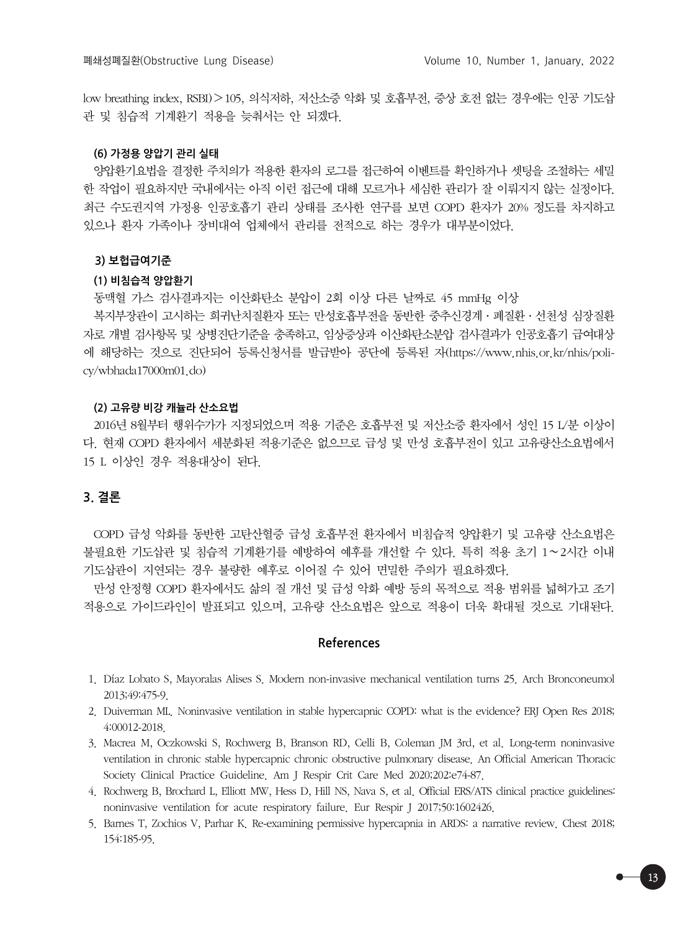low breathing index, RSBI)>105, 의식저하, 저산소증 악화 및 호흡부전, 증상 호전 없는 경우에는 인공 기도삽 관 및 침습적 기계환기 적용을 늦춰서는 안 되겠다.

## **(6) 가정용 양압기 관리 실태**

양압환기요법을 결정한 주치의가 적용한 환자의 로그를 접근하여 이벤트를 확인하거나 셋팅을 조절하는 세밀 한 작업이 필요하지만 국내에서는 아직 이런 접근에 대해 모르거나 세심한 관리가 잘 이뤄지지 않는 실정이다. 최근 수도권지역 가정용 인공호흡기 관리 상태를 조사한 연구를 보면 COPD 환자가 20% 정도를 차지하고 있으나 환자 가족이나 장비대여 업체에서 관리를 전적으로 하는 경우가 대부분이었다.

#### **3) 보헙급여기준**

#### **(1) 비침습적 양압환기**

동맥혈 가스 검사결과지는 이산화탄소 분압이 2회 이상 다른 날짜로 45 mmHg 이상

복지부장관이 고시하는 희귀난치질환자 또는 만성호흡부전을 동반한 중추신경계·폐질환·선천성 심장질환 자로 개별 검사항목 및 상병진단기준을 충족하고, 임상증상과 이산화탄소분압 검사결과가 인공호흡기 급여대상 에 해당하는 것으로 진단되어 등록신청서를 발급받아 공단에 등록된 자(https://www.nhis.or.kr/nhis/policy/wbhada17000m01.do)

#### **(2) 고유량 비강 캐뉼라 산소요법**

2016년 8월부터 행위수가가 지정되었으며 적용 기준은 호흡부전 및 저산소증 환자에서 성인 15 L/분 이상이 다. 현재 COPD 환자에서 세분화된 적용기준은 없으므로 급성 및 만성 호흡부전이 있고 고유량산소요법에서 15 L 이상인 경우 적용대상이 된다.

## **3. 결론**

COPD 급성 악화를 동반한 고탄산혈증 급성 호흡부전 환자에서 비침습적 양압환기 및 고유량 산소요법은 불필요한 기도삽관 및 침습적 기계환기를 예방하여 예후를 개선할 수 있다. 특히 적용 초기 1∼2시간 이내 기도삽관이 지연되는 경우 불량한 예후로 이어질 수 있어 면밀한 주의가 필요하겠다.

만성 안정형 COPD 환자에서도 삶의 질 개선 및 급성 악화 예방 등의 목적으로 적용 범위를 넓혀가고 조기 적용으로 가이드라인이 발표되고 있으며, 고유량 산소요법은 앞으로 적용이 더욱 확대될 것으로 기대된다.

### **References**

- 1. Díaz Lobato S, Mayoralas Alises S. Modern non-invasive mechanical ventilation turns 25. Arch Bronconeumol 2013;49:475-9.
- 2. Duiverman ML. Noninvasive ventilation in stable hypercapnic COPD: what is the evidence? ERJ Open Res 2018; 4:00012-2018.
- 3. Macrea M, Oczkowski S, Rochwerg B, Branson RD, Celli B, Coleman JM 3rd, et al. Long-term noninvasive ventilation in chronic stable hypercapnic chronic obstructive pulmonary disease. An Official American Thoracic Society Clinical Practice Guideline. Am J Respir Crit Care Med 2020;202:e74-87.
- 4. Rochwerg B, Brochard L, Elliott MW, Hess D, Hill NS, Nava S, et al. Official ERS/ATS clinical practice guidelines: noninvasive ventilation for acute respiratory failure. Eur Respir J 2017;50:1602426.
- 5. Barnes T, Zochios V, Parhar K. Re-examining permissive hypercapnia in ARDS: a narrative review. Chest 2018; 154:185-95.